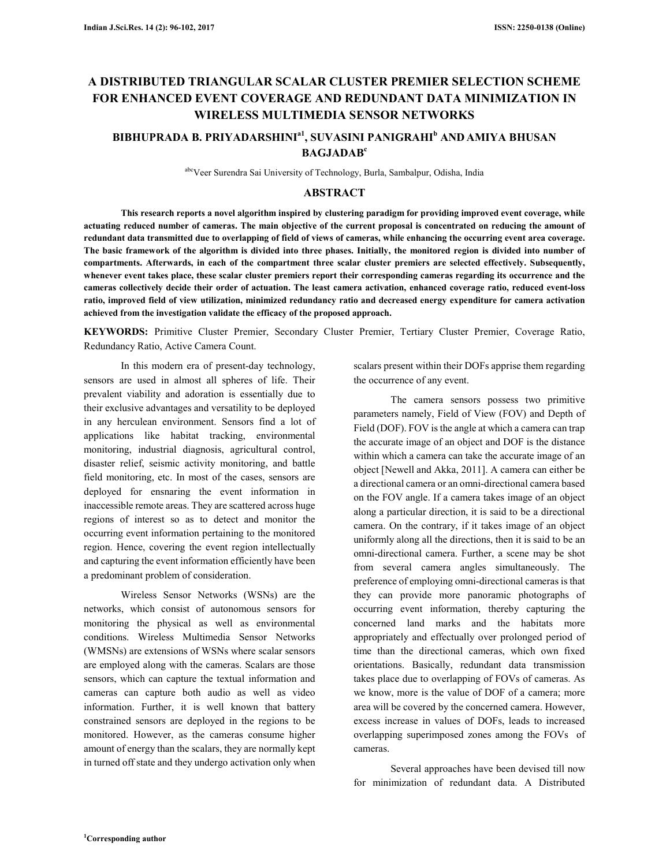# **A DISTRIBUTED TRIANGULAR SCALAR CLUSTER PREMIER SELECTION SCHEME FOR ENHANCED EVENT COVERAGE AND REDUNDANT DATA MINIMIZATION IN WIRELESS MULTIMEDIA SENSOR NETWORKS**

## **BIBHUPRADA B. PRIYADARSHINIa1, SUVASINI PANIGRAHI<sup>b</sup> AND AMIYA BHUSAN BAGJADAB<sup>c</sup>**

abcVeer Surendra Sai University of Technology, Burla, Sambalpur, Odisha, India

### **ABSTRACT**

**This research reports a novel algorithm inspired by clustering paradigm for providing improved event coverage, while actuating reduced number of cameras. The main objective of the current proposal is concentrated on reducing the amount of redundant data transmitted due to overlapping of field of views of cameras, while enhancing the occurring event area coverage. The basic framework of the algorithm is divided into three phases. Initially, the monitored region is divided into number of compartments. Afterwards, in each of the compartment three scalar cluster premiers are selected effectively. Subsequently, whenever event takes place, these scalar cluster premiers report their corresponding cameras regarding its occurrence and the cameras collectively decide their order of actuation. The least camera activation, enhanced coverage ratio, reduced event-loss ratio, improved field of view utilization, minimized redundancy ratio and decreased energy expenditure for camera activation achieved from the investigation validate the efficacy of the proposed approach.** 

**KEYWORDS:** Primitive Cluster Premier, Secondary Cluster Premier, Tertiary Cluster Premier, Coverage Ratio, Redundancy Ratio, Active Camera Count.

In this modern era of present-day technology, sensors are used in almost all spheres of life. Their prevalent viability and adoration is essentially due to their exclusive advantages and versatility to be deployed in any herculean environment. Sensors find a lot of applications like habitat tracking, environmental monitoring, industrial diagnosis, agricultural control, disaster relief, seismic activity monitoring, and battle field monitoring, etc. In most of the cases, sensors are deployed for ensnaring the event information in inaccessible remote areas. They are scattered across huge regions of interest so as to detect and monitor the occurring event information pertaining to the monitored region. Hence, covering the event region intellectually and capturing the event information efficiently have been a predominant problem of consideration.

Wireless Sensor Networks (WSNs) are the networks, which consist of autonomous sensors for monitoring the physical as well as environmental conditions. Wireless Multimedia Sensor Networks (WMSNs) are extensions of WSNs where scalar sensors are employed along with the cameras. Scalars are those sensors, which can capture the textual information and cameras can capture both audio as well as video information. Further, it is well known that battery constrained sensors are deployed in the regions to be monitored. However, as the cameras consume higher amount of energy than the scalars, they are normally kept in turned off state and they undergo activation only when scalars present within their DOFs apprise them regarding the occurrence of any event.

The camera sensors possess two primitive parameters namely, Field of View (FOV) and Depth of Field (DOF). FOV is the angle at which a camera can trap the accurate image of an object and DOF is the distance within which a camera can take the accurate image of an object [Newell and Akka, 2011]. A camera can either be a directional camera or an omni-directional camera based on the FOV angle. If a camera takes image of an object along a particular direction, it is said to be a directional camera. On the contrary, if it takes image of an object uniformly along all the directions, then it is said to be an omni-directional camera. Further, a scene may be shot from several camera angles simultaneously. The preference of employing omni-directional cameras is that they can provide more panoramic photographs of occurring event information, thereby capturing the concerned land marks and the habitats more appropriately and effectually over prolonged period of time than the directional cameras, which own fixed orientations. Basically, redundant data transmission takes place due to overlapping of FOVs of cameras. As we know, more is the value of DOF of a camera; more area will be covered by the concerned camera. However, excess increase in values of DOFs, leads to increased overlapping superimposed zones among the FOVs of cameras.

Several approaches have been devised till now for minimization of redundant data. A Distributed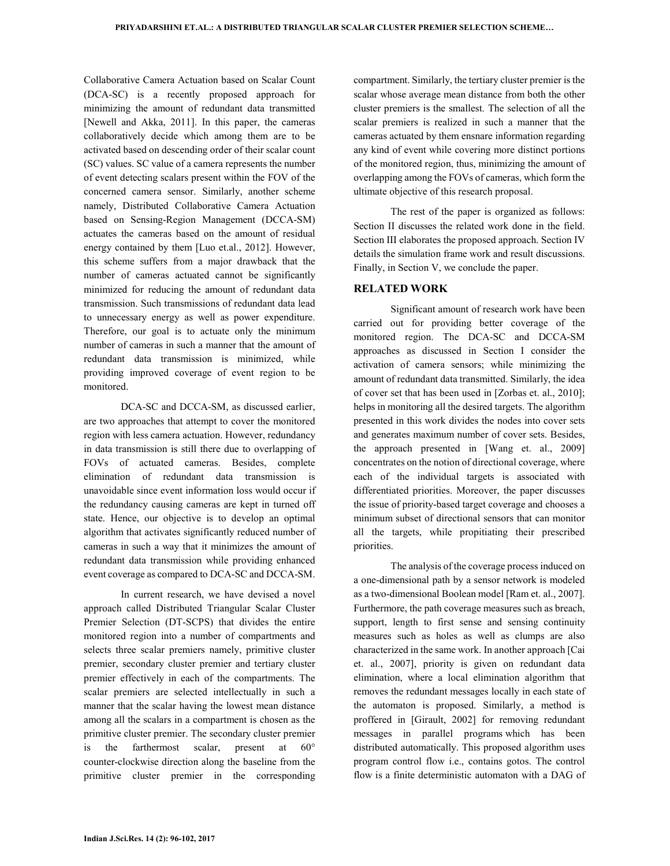Collaborative Camera Actuation based on Scalar Count (DCA-SC) is a recently proposed approach for minimizing the amount of redundant data transmitted [Newell and Akka, 2011]. In this paper, the cameras collaboratively decide which among them are to be activated based on descending order of their scalar count (SC) values. SC value of a camera represents the number of event detecting scalars present within the FOV of the concerned camera sensor. Similarly, another scheme namely, Distributed Collaborative Camera Actuation based on Sensing-Region Management (DCCA-SM) actuates the cameras based on the amount of residual energy contained by them [Luo et.al., 2012]. However, this scheme suffers from a major drawback that the number of cameras actuated cannot be significantly minimized for reducing the amount of redundant data transmission. Such transmissions of redundant data lead to unnecessary energy as well as power expenditure. Therefore, our goal is to actuate only the minimum number of cameras in such a manner that the amount of redundant data transmission is minimized, while providing improved coverage of event region to be monitored.

DCA-SC and DCCA-SM, as discussed earlier, are two approaches that attempt to cover the monitored region with less camera actuation. However, redundancy in data transmission is still there due to overlapping of FOVs of actuated cameras. Besides, complete elimination of redundant data transmission is unavoidable since event information loss would occur if the redundancy causing cameras are kept in turned off state. Hence, our objective is to develop an optimal algorithm that activates significantly reduced number of cameras in such a way that it minimizes the amount of redundant data transmission while providing enhanced event coverage as compared to DCA-SC and DCCA-SM.

In current research, we have devised a novel approach called Distributed Triangular Scalar Cluster Premier Selection (DT-SCPS) that divides the entire monitored region into a number of compartments and selects three scalar premiers namely, primitive cluster premier, secondary cluster premier and tertiary cluster premier effectively in each of the compartments. The scalar premiers are selected intellectually in such a manner that the scalar having the lowest mean distance among all the scalars in a compartment is chosen as the primitive cluster premier. The secondary cluster premier is the farthermost scalar, present at 60° counter-clockwise direction along the baseline from the primitive cluster premier in the corresponding compartment. Similarly, the tertiary cluster premier is the scalar whose average mean distance from both the other cluster premiers is the smallest. The selection of all the scalar premiers is realized in such a manner that the cameras actuated by them ensnare information regarding any kind of event while covering more distinct portions of the monitored region, thus, minimizing the amount of overlapping among the FOVs of cameras, which form the ultimate objective of this research proposal.

The rest of the paper is organized as follows: Section II discusses the related work done in the field. Section III elaborates the proposed approach. Section IV details the simulation frame work and result discussions. Finally, in Section V, we conclude the paper.

#### **RELATED WORK**

Significant amount of research work have been carried out for providing better coverage of the monitored region. The DCA-SC and DCCA-SM approaches as discussed in Section I consider the activation of camera sensors; while minimizing the amount of redundant data transmitted. Similarly, the idea of cover set that has been used in [Zorbas et. al., 2010]; helps in monitoring all the desired targets. The algorithm presented in this work divides the nodes into cover sets and generates maximum number of cover sets. Besides, the approach presented in [Wang et. al., 2009] concentrates on the notion of directional coverage, where each of the individual targets is associated with differentiated priorities. Moreover, the paper discusses the issue of priority-based target coverage and chooses a minimum subset of directional sensors that can monitor all the targets, while propitiating their prescribed priorities.

The analysis of the coverage process induced on a one-dimensional path by a sensor network is modeled as a two-dimensional Boolean model [Ram et. al., 2007]. Furthermore, the path coverage measures such as breach, support, length to first sense and sensing continuity measures such as holes as well as clumps are also characterized in the same work. In another approach [Cai et. al., 2007], priority is given on redundant data elimination, where a local elimination algorithm that removes the redundant messages locally in each state of the automaton is proposed. Similarly, a method is proffered in [Girault, 2002] for removing redundant messages in parallel programs which has been distributed automatically. This proposed algorithm uses program control flow i.e., contains gotos. The control flow is a finite deterministic automaton with a DAG of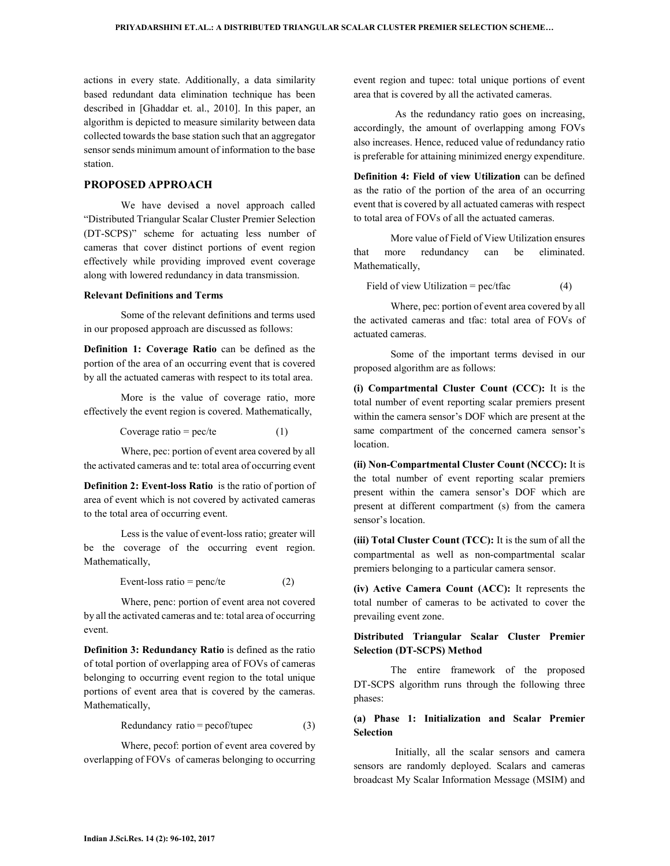actions in every state. Additionally, a data similarity based redundant data elimination technique has been described in [Ghaddar et. al., 2010]. In this paper, an algorithm is depicted to measure similarity between data collected towards the base station such that an aggregator sensor sends minimum amount of information to the base station.

#### **PROPOSED APPROACH**

We have devised a novel approach called "Distributed Triangular Scalar Cluster Premier Selection (DT-SCPS)" scheme for actuating less number of cameras that cover distinct portions of event region effectively while providing improved event coverage along with lowered redundancy in data transmission.

#### **Relevant Definitions and Terms**

Some of the relevant definitions and terms used in our proposed approach are discussed as follows:

**Definition 1: Coverage Ratio** can be defined as the portion of the area of an occurring event that is covered by all the actuated cameras with respect to its total area.

More is the value of coverage ratio, more effectively the event region is covered. Mathematically,

Coverage ratio =  $pec/te$  (1)

Where, pec: portion of event area covered by all the activated cameras and te: total area of occurring event

**Definition 2: Event-loss Ratio** is the ratio of portion of area of event which is not covered by activated cameras to the total area of occurring event.

Less is the value of event-loss ratio; greater will be the coverage of the occurring event region. Mathematically,

$$
Event-loss ratio = penc/te
$$
 (2)

Where, penc: portion of event area not covered by all the activated cameras and te: total area of occurring event.

**Definition 3: Redundancy Ratio** is defined as the ratio of total portion of overlapping area of FOVs of cameras belonging to occurring event region to the total unique portions of event area that is covered by the cameras. Mathematically,

$$
Redundancy ratio = pecof/tupec
$$
 (3)

Where, pecof: portion of event area covered by overlapping of FOVs of cameras belonging to occurring event region and tupec: total unique portions of event area that is covered by all the activated cameras.

 As the redundancy ratio goes on increasing, accordingly, the amount of overlapping among FOVs also increases. Hence, reduced value of redundancy ratio is preferable for attaining minimized energy expenditure.

**Definition 4: Field of view Utilization** can be defined as the ratio of the portion of the area of an occurring event that is covered by all actuated cameras with respect to total area of FOVs of all the actuated cameras.

More value of Field of View Utilization ensures that more redundancy can be eliminated. Mathematically,

Field of view Utilization =  $pec/tfac$  (4)

Where, pec: portion of event area covered by all the activated cameras and tfac: total area of FOVs of actuated cameras.

Some of the important terms devised in our proposed algorithm are as follows:

**(i) Compartmental Cluster Count (CCC):** It is the total number of event reporting scalar premiers present within the camera sensor's DOF which are present at the same compartment of the concerned camera sensor's location.

**(ii) Non-Compartmental Cluster Count (NCCC):** It is the total number of event reporting scalar premiers present within the camera sensor's DOF which are present at different compartment (s) from the camera sensor's location.

**(iii) Total Cluster Count (TCC):** It is the sum of all the compartmental as well as non-compartmental scalar premiers belonging to a particular camera sensor.

**(iv) Active Camera Count (ACC):** It represents the total number of cameras to be activated to cover the prevailing event zone.

### **Distributed Triangular Scalar Cluster Premier Selection (DT-SCPS) Method**

The entire framework of the proposed DT-SCPS algorithm runs through the following three phases:

### **(a) Phase 1: Initialization and Scalar Premier Selection**

 Initially, all the scalar sensors and camera sensors are randomly deployed. Scalars and cameras broadcast My Scalar Information Message (MSIM) and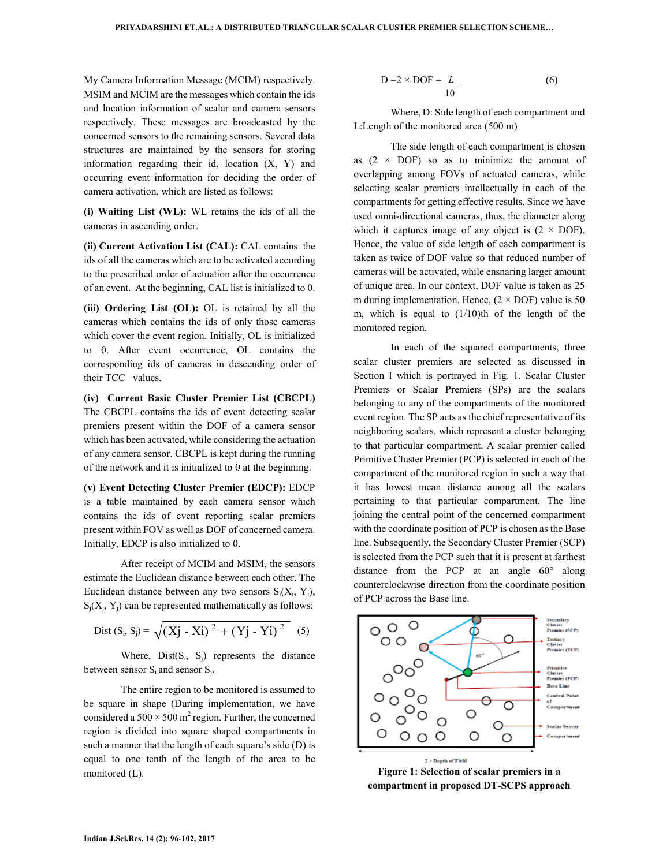My Camera Information Message (MCIM) respectively. MSIM and MCIM are the messages which contain the ids and location information of scalar and camera sensors respectively. These messages are broadcasted by the concerned sensors to the remaining sensors. Several data structures are maintained by the sensors for storing information regarding their id, location (X, Y) and occurring event information for deciding the order of camera activation, which are listed as follows:

**(i) Waiting List (WL):** WL retains the ids of all the cameras in ascending order.

**(ii) Current Activation List (CAL):** CAL contains the ids of all the cameras which are to be activated according to the prescribed order of actuation after the occurrence of an event. At the beginning, CAL list is initialized to 0.

**(iii) Ordering List (OL):** OL is retained by all the cameras which contains the ids of only those cameras which cover the event region. Initially, OL is initialized to 0. After event occurrence, OL contains the corresponding ids of cameras in descending order of their TCC values.

**(iv) Current Basic Cluster Premier List (CBCPL)** The CBCPL contains the ids of event detecting scalar premiers present within the DOF of a camera sensor which has been activated, while considering the actuation of any camera sensor. CBCPL is kept during the running of the network and it is initialized to 0 at the beginning.

**(v) Event Detecting Cluster Premier (EDCP):** EDCP is a table maintained by each camera sensor which contains the ids of event reporting scalar premiers present within FOV as well as DOF of concerned camera. Initially, EDCP is also initialized to 0.

After receipt of MCIM and MSIM, the sensors estimate the Euclidean distance between each other. The Euclidean distance between any two sensors  $S_i(X_i, Y_i)$ ,  $S_j(X_j, Y_j)$  can be represented mathematically as follows:

Dist 
$$
(S_i, S_j) = \sqrt{(Xj - Xi)^2 + (Yj - Yi)^2}
$$
 (5)

Where,  $Dist(S_i, S_j)$  represents the distance between sensor  $S_i$  and sensor  $S_j$ .

The entire region to be monitored is assumed to be square in shape (During implementation, we have considered a  $500 \times 500$  m<sup>2</sup> region. Further, the concerned region is divided into square shaped compartments in such a manner that the length of each square's side (D) is equal to one tenth of the length of the area to be monitored (L).

$$
D = 2 \times DOF = \frac{L}{10}
$$
 (6)

Where, D: Side length of each compartment and L:Length of the monitored area (500 m)

The side length of each compartment is chosen as  $(2 \times DOF)$  so as to minimize the amount of overlapping among FOVs of actuated cameras, while selecting scalar premiers intellectually in each of the compartments for getting effective results. Since we have used omni-directional cameras, thus, the diameter along which it captures image of any object is  $(2 \times DOF)$ . Hence, the value of side length of each compartment is taken as twice of DOF value so that reduced number of cameras will be activated, while ensnaring larger amount of unique area. In our context, DOF value is taken as 25 m during implementation. Hence,  $(2 \times DOF)$  value is 50 m, which is equal to  $(1/10)$ th of the length of the monitored region.

In each of the squared compartments, three scalar cluster premiers are selected as discussed in Section I which is portrayed in Fig. 1. Scalar Cluster Premiers or Scalar Premiers (SPs) are the scalars belonging to any of the compartments of the monitored event region. The SP acts as the chief representative of its neighboring scalars, which represent a cluster belonging to that particular compartment. A scalar premier called Primitive Cluster Premier (PCP) is selected in each of the compartment of the monitored region in such a way that it has lowest mean distance among all the scalars pertaining to that particular compartment. The line joining the central point of the concerned compartment with the coordinate position of PCP is chosen as the Base line. Subsequently, the Secondary Cluster Premier (SCP) is selected from the PCP such that it is present at farthest distance from the PCP at an angle 60° along counterclockwise direction from the coordinate position of PCP across the Base line.



**Figure 1: Selection of scalar premiers in a compartment in proposed DT-SCPS approach**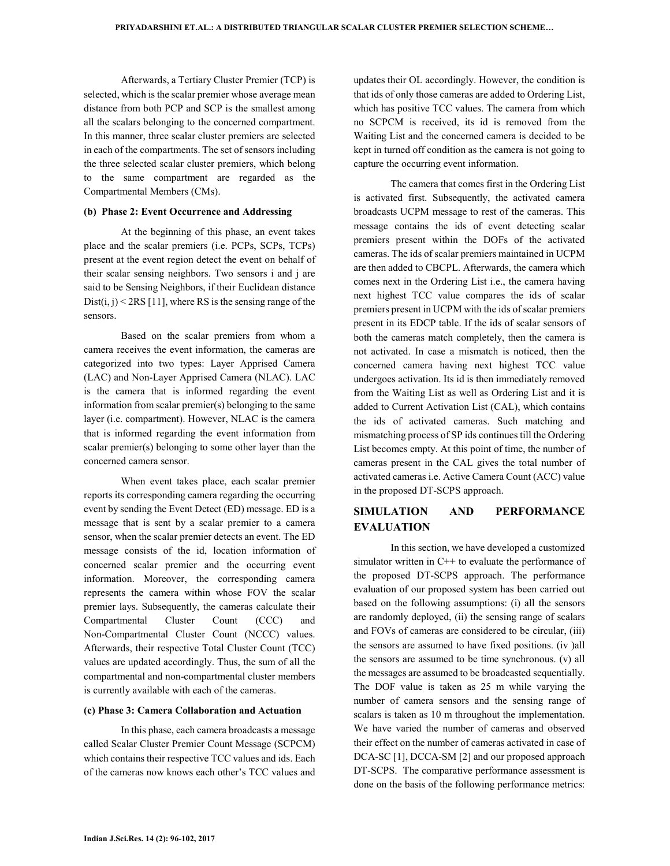Afterwards, a Tertiary Cluster Premier (TCP) is selected, which is the scalar premier whose average mean distance from both PCP and SCP is the smallest among all the scalars belonging to the concerned compartment. In this manner, three scalar cluster premiers are selected in each of the compartments. The set of sensors including the three selected scalar cluster premiers, which belong to the same compartment are regarded as the Compartmental Members (CMs).

#### **(b) Phase 2: Event Occurrence and Addressing**

At the beginning of this phase, an event takes place and the scalar premiers (i.e. PCPs, SCPs, TCPs) present at the event region detect the event on behalf of their scalar sensing neighbors. Two sensors i and j are said to be Sensing Neighbors, if their Euclidean distance Dist $(i, j)$  < 2RS [11], where RS is the sensing range of the sensors.

Based on the scalar premiers from whom a camera receives the event information, the cameras are categorized into two types: Layer Apprised Camera (LAC) and Non-Layer Apprised Camera (NLAC). LAC is the camera that is informed regarding the event information from scalar premier(s) belonging to the same layer (i.e. compartment). However, NLAC is the camera that is informed regarding the event information from scalar premier(s) belonging to some other layer than the concerned camera sensor.

When event takes place, each scalar premier reports its corresponding camera regarding the occurring event by sending the Event Detect (ED) message. ED is a message that is sent by a scalar premier to a camera sensor, when the scalar premier detects an event. The ED message consists of the id, location information of concerned scalar premier and the occurring event information. Moreover, the corresponding camera represents the camera within whose FOV the scalar premier lays. Subsequently, the cameras calculate their Compartmental Cluster Count (CCC) and Non-Compartmental Cluster Count (NCCC) values. Afterwards, their respective Total Cluster Count (TCC) values are updated accordingly. Thus, the sum of all the compartmental and non-compartmental cluster members is currently available with each of the cameras.

#### **(c) Phase 3: Camera Collaboration and Actuation**

In this phase, each camera broadcasts a message called Scalar Cluster Premier Count Message (SCPCM) which contains their respective TCC values and ids. Each of the cameras now knows each other's TCC values and updates their OL accordingly. However, the condition is that ids of only those cameras are added to Ordering List, which has positive TCC values. The camera from which no SCPCM is received, its id is removed from the Waiting List and the concerned camera is decided to be kept in turned off condition as the camera is not going to capture the occurring event information.

The camera that comes first in the Ordering List is activated first. Subsequently, the activated camera broadcasts UCPM message to rest of the cameras. This message contains the ids of event detecting scalar premiers present within the DOFs of the activated cameras. The ids of scalar premiers maintained in UCPM are then added to CBCPL. Afterwards, the camera which comes next in the Ordering List i.e., the camera having next highest TCC value compares the ids of scalar premiers present in UCPM with the ids of scalar premiers present in its EDCP table. If the ids of scalar sensors of both the cameras match completely, then the camera is not activated. In case a mismatch is noticed, then the concerned camera having next highest TCC value undergoes activation. Its id is then immediately removed from the Waiting List as well as Ordering List and it is added to Current Activation List (CAL), which contains the ids of activated cameras. Such matching and mismatching process of SP ids continues till the Ordering List becomes empty. At this point of time, the number of cameras present in the CAL gives the total number of activated cameras i.e. Active Camera Count (ACC) value in the proposed DT-SCPS approach.

## **SIMULATION AND PERFORMANCE EVALUATION**

In this section, we have developed a customized simulator written in C++ to evaluate the performance of the proposed DT-SCPS approach. The performance evaluation of our proposed system has been carried out based on the following assumptions: (i) all the sensors are randomly deployed, (ii) the sensing range of scalars and FOVs of cameras are considered to be circular, (iii) the sensors are assumed to have fixed positions. (iv )all the sensors are assumed to be time synchronous. (v) all the messages are assumed to be broadcasted sequentially. The DOF value is taken as 25 m while varying the number of camera sensors and the sensing range of scalars is taken as 10 m throughout the implementation. We have varied the number of cameras and observed their effect on the number of cameras activated in case of DCA-SC [1], DCCA-SM [2] and our proposed approach DT-SCPS. The comparative performance assessment is done on the basis of the following performance metrics: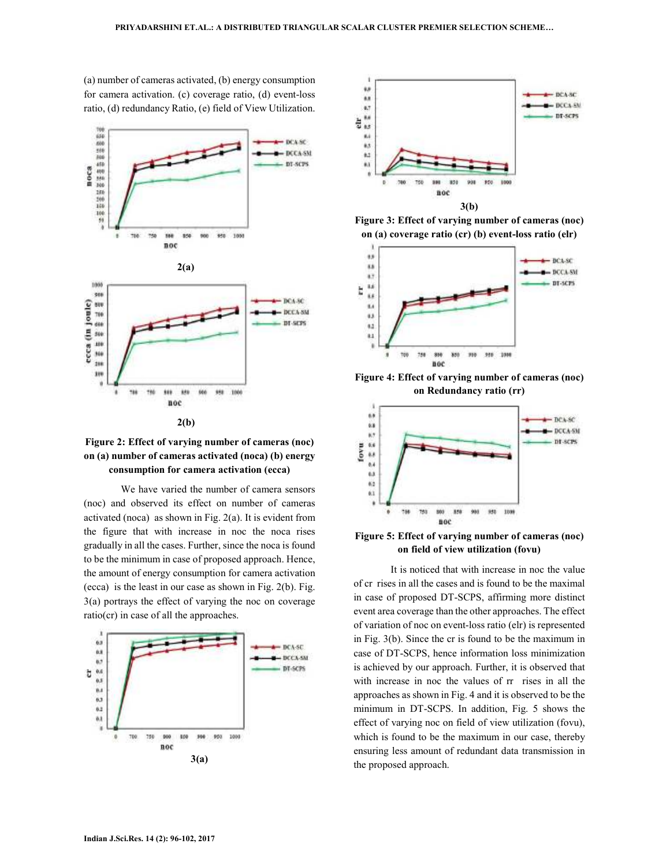(a) number of cameras activated, (b) energy consumption for camera activation. (c) coverage ratio, (d) event-loss ratio, (d) redundancy Ratio, (e) field of View Utilization.





We have varied the number of camera sensors (noc) and observed its effect on number of cameras activated (noca) as shown in Fig. 2(a). It is evident from the figure that with increase in noc the noca rises gradually in all the cases. Further, since the noca is found to be the minimum in case of proposed approach. Hence, the amount of energy consumption for camera activation (ecca) is the least in our case as shown in Fig. 2(b). Fig. 3(a) portrays the effect of varying the noc on coverage ratio(cr) in case of all the approaches.





**Figure 3: Effect of varying number of cameras (noc) on (a) coverage ratio (cr) (b) event-loss ratio (elr)** 



**Figure 4: Effect of varying number of cameras (noc) on Redundancy ratio (rr)** 



**Figure 5: Effect of varying number of cameras (noc) on field of view utilization (fovu)** 

It is noticed that with increase in noc the value of cr rises in all the cases and is found to be the maximal in case of proposed DT-SCPS, affirming more distinct event area coverage than the other approaches. The effect of variation of noc on event-loss ratio (elr) is represented in Fig. 3(b). Since the cr is found to be the maximum in case of DT-SCPS, hence information loss minimization is achieved by our approach. Further, it is observed that with increase in noc the values of  $rr$  rises in all the approaches as shown in Fig. 4 and it is observed to be the minimum in DT-SCPS. In addition, Fig. 5 shows the effect of varying noc on field of view utilization (fovu), which is found to be the maximum in our case, thereby ensuring less amount of redundant data transmission in the proposed approach.